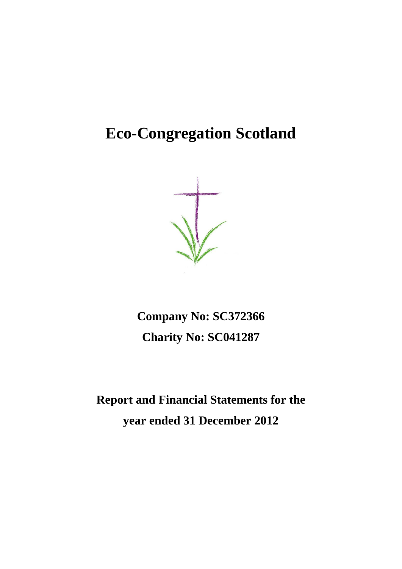# **Eco-Congregation Scotland**

**Company No: SC372366 Charity No: SC041287**

**Report and Financial Statements for the year ended 31 December 2012**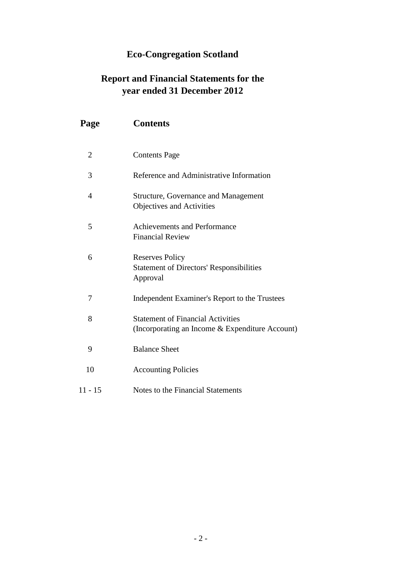## **Eco-Congregation Scotland**

## **Report and Financial Statements for the year ended 31 December 2012**

| Page           | <b>Contents</b>                                                                             |
|----------------|---------------------------------------------------------------------------------------------|
| $\overline{2}$ | <b>Contents Page</b>                                                                        |
| 3              | Reference and Administrative Information                                                    |
| $\overline{4}$ | Structure, Governance and Management<br>Objectives and Activities                           |
| 5              | <b>Achievements and Performance</b><br><b>Financial Review</b>                              |
| 6              | <b>Reserves Policy</b><br><b>Statement of Directors' Responsibilities</b><br>Approval       |
| 7              | Independent Examiner's Report to the Trustees                                               |
| 8              | <b>Statement of Financial Activities</b><br>(Incorporating an Income & Expenditure Account) |
| 9              | <b>Balance Sheet</b>                                                                        |
| 10             | <b>Accounting Policies</b>                                                                  |
| $11 - 15$      | Notes to the Financial Statements                                                           |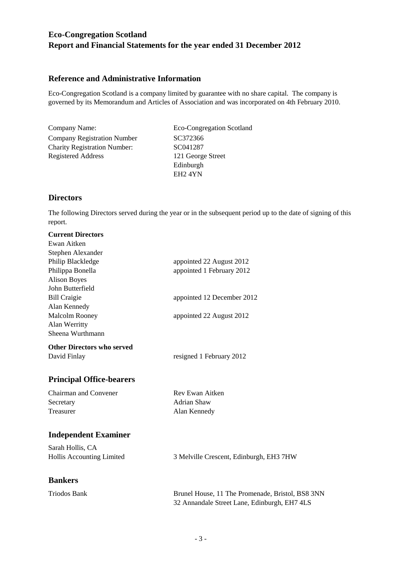## **Reference and Administrative Information**

Eco-Congregation Scotland is a company limited by guarantee with no share capital. The company is governed by its Memorandum and Articles of Association and was incorporated on 4th February 2010.

Company Name: Eco-Congregation Scotland Company Registration Number SC372366 Charity Registration Number: SC041287 Registered Address 121 George Street

Edinburgh EH2 4YN

## **Directors**

The following Directors served during the year or in the subsequent period up to the date of signing of this report.

| <b>Current Directors</b>        |                            |
|---------------------------------|----------------------------|
| Ewan Aitken                     |                            |
| Stephen Alexander               |                            |
| Philip Blackledge               | appointed 22 August 2012   |
| Philippa Bonella                | appointed 1 February 2012  |
| <b>Alison Boyes</b>             |                            |
| John Butterfield                |                            |
| <b>Bill Craigie</b>             | appointed 12 December 2012 |
| Alan Kennedy                    |                            |
| <b>Malcolm Rooney</b>           | appointed 22 August 2012   |
| Alan Werritty                   |                            |
| Sheena Wurthmann                |                            |
| Other Directors who served      |                            |
| David Finlay                    | resigned 1 February 2012   |
| <b>Principal Office-bearers</b> |                            |
| Chairman and Convener           | Rev Ewan Aitken            |
| Secretary                       | Adrian Shaw                |

## **Independent Examiner**

| Sarah Hollis, CA                 |                                         |
|----------------------------------|-----------------------------------------|
| <b>Hollis Accounting Limited</b> | 3 Melville Crescent, Edinburgh, EH3 7HW |

Treasurer Alan Kennedy

## **Bankers**

| Daiinui 5    |                                                  |
|--------------|--------------------------------------------------|
| Triodos Bank | Brunel House, 11 The Promenade, Bristol, BS8 3NN |
|              | 32 Annandale Street Lane, Edinburgh, EH7 4LS     |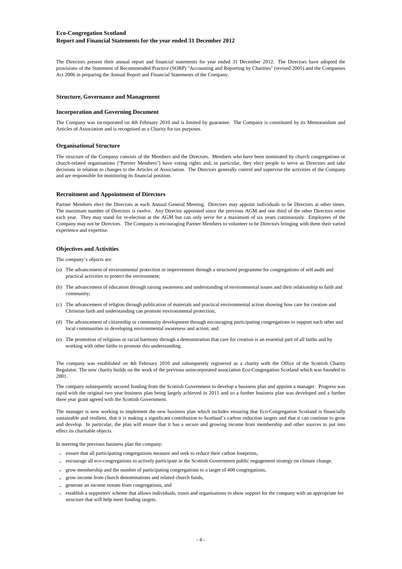The Directors present their annual report and financial statements for year ended 31 December 2012. The Directors have adopted the provisions of the Statement of Recommended Practice (SORP) "Accounting and Reporting by Charities" (revised 2005) and the Companies Act 2006 in preparing the Annual Report and Financial Statements of the Company.

#### **Structure, Governance and Management**

#### **Incorporation and Governing Document**

The Company was incorporated on 4th February 2010 and is limited by guarantee. The Company is constituted by its Memorandum and Articles of Association and is recognised as a Charity for tax purposes.

#### **Organisational Structure**

The structure of the Company consists of the Members and the Directors. Members who have been nominated by church congregations or church-related organisations ("Partner Members") have voting rights and, in particular, they elect people to serve as Directors and take decisions in relation to changes to the Articles of Association. The Directors generally control and supervise the activities of the Company and are responsible for monitoring its financial position.

#### **Recruitment and Appointment of Directors**

Partner Members elect the Directors at each Annual General Meeting. Directors may appoint individuals to be Directors at other times. The maximum number of Directors is twelve. Any Director appointed since the previous AGM and one third of the other Directors retire each year. They may stand for re-election at the AGM but can only serve for a maximum of six years continuously. Employees of the Company may not be Directors. The Company is encouraging Partner Members to volunteer to be Directors bringing with them their varied experience and expertise.

#### **Objectives and Activities**

The company's objects are:

- (a) The advancement of environmental protection or improvement through a structured programme for congregations of self audit and practical activities to protect the environment;
- (b) The advancement of education through raising awareness and understanding of environmental issues and their relationship to faith and community;
- (c) The advancement of religion through publication of materials and practical environmental action showing how care for creation and Christian faith and understanding can promote environmental protection;
- (d) The advancement of citizenship or community development through encouraging participating congregations to support each other and local communities in developing environmental awareness and action; and
- (e) The promotion of religious or racial harmony through a demonstration that care for creation is an essential part of all faiths and by working with other faiths to promote this understanding.

The company was established on 4th February 2010 and subsequently registered as a charity with the Office of the Scottish Charity Regulator. The new charity builds on the work of the previous unincorporated association Eco-Congregation Scotland which was founded in 2001.

The company subsequently secured funding from the Scottish Government to develop a business plan and appoint a manager. Progress was rapid with the original two year business plan being largely achieved in 2011 and so a further business plan was developed and a further three year grant agreed with the Scottish Government.

The manager is now working to implement the new business plan which includes ensuring that Eco-Congregation Scotland is financially sustainable and resilient, that it is making a significant contribution to Scotland's carbon reduction targets and that it can continue to grow and develop. In particular, the plan will ensure that it has a secure and growing income from membership and other sources to put into effect its charitable objects.

In meeting the previous business plan the company:

- **-** ensure that all participating congregations measure and seek to reduce their carbon footprints,
- **-** encourage all eco-congregations to actively participate in the Scottish Government public engagement strategy on climate change,
- **-** grow membership and the number of participating congregations to a target of 400 congregations,
- **-** grow income from church denominations and related church funds,
- **-** generate an income stream from congregations, and
- **-** establish a supporters' scheme that allows individuals, trusts and organisations to show support for the company with an appropriate fee structure that will help meet funding targets.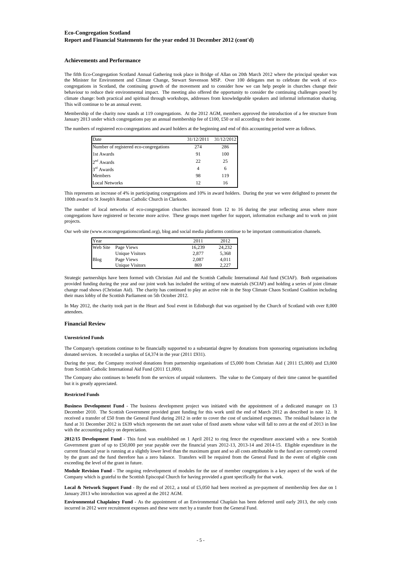#### **Achievements and Performance**

The fifth Eco-Congregation Scotland Annual Gathering took place in Bridge of Allan on 20th March 2012 where the principal speaker was the Minister for Environment and Climate Change, Stewart Stevenson MSP. Over 100 delegates met to celebrate the work of ecocongregations in Scotland, the continuing growth of the movement and to consider how we can help people in churches change their behaviour to reduce their environmental impact. The meeting also offered the opportunity to consider the continuing challenges posed by climate change: both practical and spiritual through workshops, addresses from knowledgeable speakers and informal information sharing. This will continue to be an annual event.

Membership of the charity now stands at 119 congregations. At the 2012 AGM, members approved the introduction of a fee structure from January 2013 under which congregations pay an annual membership fee of £100, £50 or nil according to their income.

The numbers of registered eco-congregations and award holders at the beginning and end of this accounting period were as follows.

| Date                                   | 31/12/2011 | 31/12/2012 |
|----------------------------------------|------------|------------|
| Number of registered eco-congregations | 274        | 286        |
| 1st Awards                             | 91         | 100        |
| $2nd$ Awards                           | 22         | 25         |
| $3rd$ Awards                           | 4          | 6          |
| Members                                | 98         | 119        |
| <b>Local Networks</b>                  | 12.        | 16         |

This represents an increase of 4% in participating congregations and 10% in award holders. During the year we were delighted to present the 100th award to St Joseph's Roman Catholic Church in Clarkson.

The number of local networks of eco-congregation churches increased from 12 to 16 during the year reflecting areas where more congregations have registered or become more active. These groups meet together for support, information exchange and to work on joint projects.

Our web site (www.ecocongregationscotland.org), blog and social media platforms continue to be important communication channels.

| Year     |                        | 2011   | 2012   |
|----------|------------------------|--------|--------|
| Web Site | Page Views             | 16.239 | 24,232 |
|          | <b>Unique Visitors</b> | 2.877  | 5,368  |
| Blog     | Page Views             | 2.087  | 4.011  |
|          | <b>Unique Visitors</b> | 869    | 2.227  |

Strategic partnerships have been formed with Christian Aid and the Scottish Catholic International Aid fund (SCIAF). Both organisations provided funding during the year and our joint work has included the writing of new materials (SCIAF) and holding a series of joint climate change road shows (Christian Aid). The charity has continued to play an active role in the Stop Climate Chaos Scotland Coalition including their mass lobby of the Scottish Parliament on 5th October 2012.

In May 2012, the charity took part in the Heart and Soul event in Edinburgh that was organised by the Church of Scotland with over 8,000 attendees.

#### **Financial Review**

#### **Unrestricted Funds**

The Company's operations continue to be financially supported to a substantial degree by donations from sponsoring organisations including donated services. It recorded a surplus of £4,374 in the year (2011 £931).

During the year, the Company received donations from partnership organisations of £5,000 from Christian Aid ( 2011 £5,000) and £3,000 from Scottish Catholic International Aid Fund (2011 £1,000).

The Company also continues to benefit from the services of unpaid volunteers. The value to the Company of their time cannot be quantified but it is greatly appreciated.

#### **Restricted Funds**

**Business Development Fund** - The business development project was initiated with the appointment of a dedicated manager on 13 December 2010. The Scottish Government provided grant funding for this work until the end of March 2012 as described in note 12. It received a transfer of £50 from the General Fund during 2012 in order to cover the cost of unclaimed expenses. The residual balance in the fund at 31 December 2012 is £639 which represents the net asset value of fixed assets whose value will fall to zero at the end of 2013 in line with the accounting policy on depreciation.

**2012/15 Development Fund** - This fund was established on 1 April 2012 to ring fence the expenditure associated with a new Scottish Government grant of up to £50,000 per year payable over the financial years 2012-13, 2013-14 and 2014-15. Eligible expenditure in the current financial year is running at a slightly lower level than the maximum grant and so all costs attributable to the fund are currently covered by the grant and the fund therefore has a zero balance. Transfers will be required from the General Fund in the event of eligible costs exceeding the level of the grant in future.

**Module Revision Fund** - The ongoing redevelopment of modules for the use of member congregations is a key aspect of the work of the Company which is grateful to the Scottish Episcopal Church for having provided a grant specifically for that work.

**Local & Network Support Fund** - By the end of 2012, a total of £5,050 had been received as pre-payment of membership fees due on 1 January 2013 who introduction was agreed at the 2012 AGM.

**Environmental Chaplaincy Fund** - As the appointment of an Environmental Chaplain has been deferred until early 2013, the only costs incurred in 2012 were recruitment expenses and these were met by a transfer from the General Fund.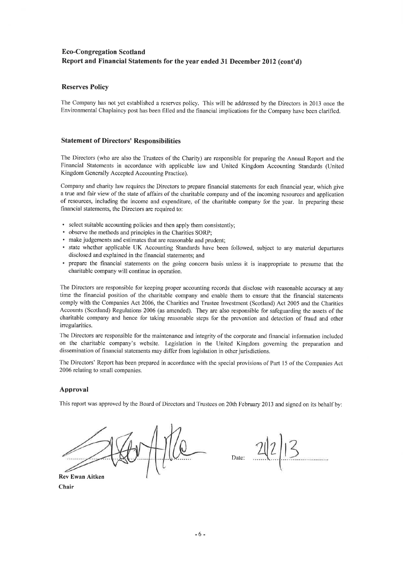#### **Reserves Policy**

The Company has not yet established a reserves policy. This will be addressed by the Directors in 2013 once the Environmental Chaplaincy post has been filled and the financial implications for the Company have been clarified.

#### **Statement of Directors' Responsibilities**

The Directors (who are also the Trustees of the Charity) are responsible for preparing the Annual Report and the Financial Statements in accordance with applicable law and United Kingdom Accounting Standards (United Kingdom Generally Accepted Accounting Practice).

Company and charity law requires the Directors to prepare financial statements for each financial year, which give a true and fair view of the state of affairs of the charitable company and of the incoming resources and application of resources, including the income and expenditure, of the charitable company for the year. In preparing these financial statements, the Directors are required to:

- select suitable accounting policies and then apply them consistently;
- observe the methods and principles in the Charities SORP;
- make judgements and estimates that are reasonable and prudent;
- · state whether applicable UK Accounting Standards have been followed, subject to any material departures disclosed and explained in the financial statements; and
- prepare the financial statements on the going concern basis unless it is inappropriate to presume that the charitable company will continue in operation.

The Directors are responsible for keeping proper accounting records that disclose with reasonable accuracy at any time the financial position of the charitable company and enable them to ensure that the financial statements comply with the Companies Act 2006, the Charities and Trustee Investment (Scotland) Act 2005 and the Charities Accounts (Scotland) Regulations 2006 (as amended). They are also responsible for safeguarding the assets of the charitable company and hence for taking reasonable steps for the prevention and detection of fraud and other irregularities.

The Directors are responsible for the maintenance and integrity of the corporate and financial information included on the charitable company's website. Legislation in the United Kingdom governing the preparation and dissemination of financial statements may differ from legislation in other jurisdictions.

The Directors' Report has been prepared in accordance with the special provisions of Part 15 of the Companies Act 2006 relating to small companies.

#### Approval

This report was approved by the Board of Directors and Trustees on 20th February 2013 and signed on its behalf by:

**Rev Ewan Aitken** 

Chair

Date: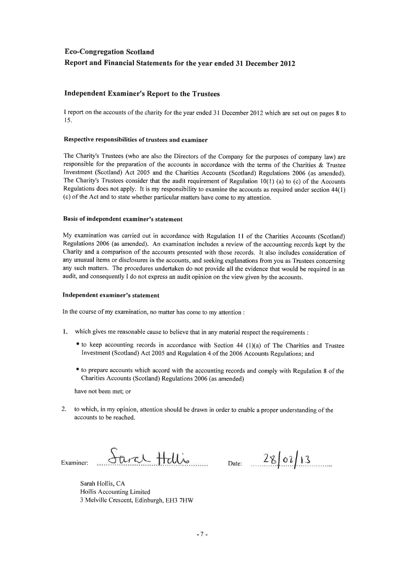### **Independent Examiner's Report to the Trustees**

I report on the accounts of the charity for the year ended 31 December 2012 which are set out on pages 8 to 15.

#### Respective responsibilities of trustees and examiner

The Charity's Trustees (who are also the Directors of the Company for the purposes of company law) are responsible for the preparation of the accounts in accordance with the terms of the Charities & Trustee Investment (Scotland) Act 2005 and the Charities Accounts (Scotland) Regulations 2006 (as amended). The Charity's Trustees consider that the audit requirement of Regulation  $10(1)$  (a) to (c) of the Accounts Regulations does not apply. It is my responsibility to examine the accounts as required under section 44(1) (c) of the Act and to state whether particular matters have come to my attention.

#### Basis of independent examiner's statement

My examination was carried out in accordance with Regulation 11 of the Charities Accounts (Scotland) Regulations 2006 (as amended). An examination includes a review of the accounting records kept by the Charity and a comparison of the accounts presented with those records. It also includes consideration of any unusual items or disclosures in the accounts, and seeking explanations from you as Trustees concerning any such matters. The procedures undertaken do not provide all the evidence that would be required in an audit, and consequently I do not express an audit opinion on the view given by the accounts.

#### Independent examiner's statement

In the course of my examination, no matter has come to my attention :

- 1. which gives me reasonable cause to believe that in any material respect the requirements :
	- to keep accounting records in accordance with Section 44 (1)(a) of The Charities and Trustee Investment (Scotland) Act 2005 and Regulation 4 of the 2006 Accounts Regulations; and
	- to prepare accounts which accord with the accounting records and comply with Regulation 8 of the Charities Accounts (Scotland) Regulations 2006 (as amended)

have not been met; or

2. to which, in my opinion, attention should be drawn in order to enable a proper understanding of the accounts to be reached.

Sara Hellis Examiner:

Date:  $2800113$ 

Sarah Hollis, CA Hollis Accounting Limited 3 Melville Crescent, Edinburgh, EH3 7HW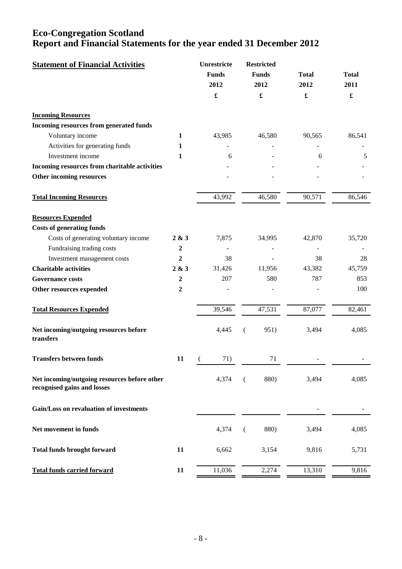| <b>Statement of Financial Activities</b>                                    |                  | Unrestricte<br><b>Funds</b><br>2012 | <b>Restricted</b><br><b>Funds</b><br>2012 | <b>Total</b><br>2012 | <b>Total</b><br>2011 |
|-----------------------------------------------------------------------------|------------------|-------------------------------------|-------------------------------------------|----------------------|----------------------|
|                                                                             |                  | £                                   |                                           | $\pmb{\mathfrak{L}}$ | $\pmb{\mathfrak{L}}$ |
| <b>Incoming Resources</b>                                                   |                  |                                     |                                           |                      |                      |
| Incoming resources from generated funds                                     |                  |                                     |                                           |                      |                      |
| Voluntary income                                                            | 1                | 43,985                              | 46,580                                    | 90,565               | 86,541               |
| Activities for generating funds                                             | 1                |                                     |                                           |                      |                      |
| Investment income                                                           | $\mathbf{1}$     | 6                                   |                                           | 6                    | 5                    |
| Incoming resources from charitable activities                               |                  |                                     |                                           |                      |                      |
| Other incoming resources                                                    |                  |                                     |                                           |                      |                      |
| <b>Total Incoming Resources</b>                                             |                  | 43,992                              | 46,580                                    | 90,571               | 86,546               |
| <b>Resources Expended</b>                                                   |                  |                                     |                                           |                      |                      |
| <b>Costs of generating funds</b>                                            |                  |                                     |                                           |                      |                      |
| Costs of generating voluntary income                                        | 2 & 3            | 7,875                               | 34,995                                    | 42,870               | 35,720               |
| Fundraising trading costs                                                   | $\overline{2}$   |                                     |                                           |                      |                      |
| Investment management costs                                                 | $\boldsymbol{2}$ | 38                                  |                                           | 38                   | 28                   |
| <b>Charitable activities</b>                                                | 2 & 3            | 31,426                              | 11,956                                    | 43,382               | 45,759               |
| <b>Governance costs</b>                                                     | $\boldsymbol{2}$ | 207                                 | 580                                       | 787                  | 853                  |
| Other resources expended                                                    | $\boldsymbol{2}$ |                                     |                                           |                      | 100                  |
| <b>Total Resources Expended</b>                                             |                  | 39,546                              | 47,531                                    | 87,077               | 82,461               |
| Net incoming/outgoing resources before<br>transfers                         |                  | 4,445                               | 951)<br>(                                 | 3,494                | 4,085                |
| <b>Transfers between funds</b>                                              | 11               | 71)                                 | 71                                        |                      |                      |
| Net incoming/outgoing resources before other<br>recognised gains and losses |                  | 4,374                               | 880)<br>€                                 | 3,494                | 4,085                |
| Gain/Loss on revaluation of investments                                     |                  |                                     |                                           |                      |                      |
| Net movement in funds                                                       |                  | 4,374                               | 880)<br>€                                 | 3,494                | 4,085                |
| <b>Total funds brought forward</b>                                          | 11               | 6,662                               | 3,154                                     | 9,816                | 5,731                |
| <b>Total funds carried forward</b>                                          | 11               | 11,036                              | 2,274                                     | 13,310               | 9,816                |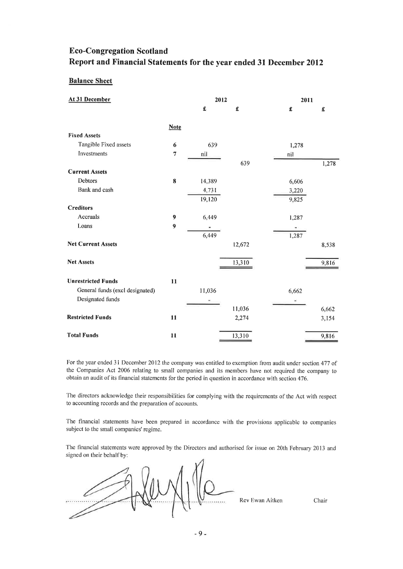### **Balance Sheet**

| At 31 December                  |                         | 2012   |        | 2011  |       |
|---------------------------------|-------------------------|--------|--------|-------|-------|
|                                 |                         | £      | £      | £     | £     |
|                                 | <b>Note</b>             |        |        |       |       |
| <b>Fixed Assets</b>             |                         |        |        |       |       |
| Tangible Fixed assets           | $\boldsymbol{6}$        | 639    |        | 1,278 |       |
| Investments                     | $\overline{\mathbf{7}}$ | nil    |        | nil   |       |
|                                 |                         |        | 639    |       | 1,278 |
| <b>Current Assets</b>           |                         |        |        |       |       |
| Debtors                         | $\bf{8}$                | 14,389 |        | 6,606 |       |
| Bank and cash                   |                         | 4,731  |        | 3,220 |       |
|                                 |                         | 19,120 |        | 9,825 |       |
| <b>Creditors</b>                |                         |        |        |       |       |
| Accruals                        | $\boldsymbol{9}$        | 6,449  |        | 1,287 |       |
| Loans                           | $\boldsymbol{9}$        |        |        |       |       |
|                                 |                         | 6,449  |        | 1,287 |       |
| <b>Net Current Assets</b>       |                         |        | 12,672 |       | 8,538 |
| <b>Net Assets</b>               |                         |        | 13,310 |       | 9,816 |
|                                 |                         |        |        |       |       |
| <b>Unrestricted Funds</b>       | 11                      |        |        |       |       |
| General funds (excl designated) |                         | 11,036 |        | 6,662 |       |
| Designated funds                |                         |        |        | Ξ     |       |
|                                 |                         |        | 11,036 |       | 6,662 |
| <b>Restricted Funds</b>         | 11                      |        | 2,274  |       | 3,154 |
| <b>Total Funds</b>              | $\mathbf{11}$           |        | 13,310 |       | 9,816 |

For the year ended 31 December 2012 the company was entitled to exemption from audit under section 477 of the Companies Act 2006 relating to small companies and its members have not required the company to obtain an audit of its financial statements for the period in question in accordance with section 476.

The directors acknowledge their responsibilities for complying with the requirements of the Act with respect to accounting records and the preparation of accounts.

The financial statements have been prepared in accordance with the provisions applicable to companies subject to the small companies' regime.

The financial statements were approved by the Directors and authorised for issue on 20th February 2013 and signed on their behalf by:

Rev Ewan Aitken

Chair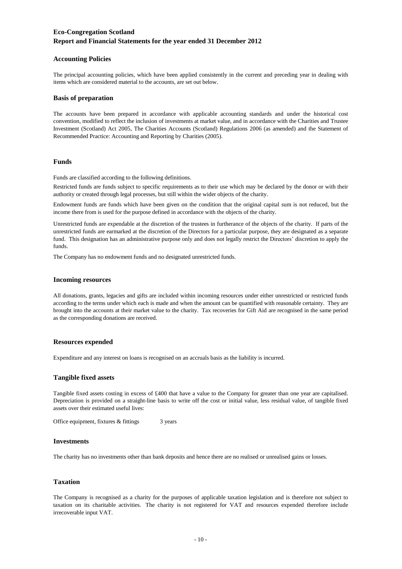#### **Accounting Policies**

The principal accounting policies, which have been applied consistently in the current and preceding year in dealing with items which are considered material to the accounts, are set out below.

#### **Basis of preparation**

The accounts have been prepared in accordance with applicable accounting standards and under the historical cost convention, modified to reflect the inclusion of investments at market value, and in accordance with the Charities and Trustee Investment (Scotland) Act 2005, The Charities Accounts (Scotland) Regulations 2006 (as amended) and the Statement of Recommended Practice: Accounting and Reporting by Charities (2005).

#### **Funds**

Funds are classified according to the following definitions.

Restricted funds are funds subject to specific requirements as to their use which may be declared by the donor or with their authority or created through legal processes, but still within the wider objects of the charity.

Endowment funds are funds which have been given on the condition that the original capital sum is not reduced, but the income there from is used for the purpose defined in accordance with the objects of the charity.

Unrestricted funds are expendable at the discretion of the trustees in furtherance of the objects of the charity. If parts of the unrestricted funds are earmarked at the discretion of the Directors for a particular purpose, they are designated as a separate fund. This designation has an administrative purpose only and does not legally restrict the Directors' discretion to apply the funds.

The Company has no endowment funds and no designated unrestricted funds.

#### **Incoming resources**

All donations, grants, legacies and gifts are included within incoming resources under either unrestricted or restricted funds according to the terms under which each is made and when the amount can be quantified with reasonable certainty. They are brought into the accounts at their market value to the charity. Tax recoveries for Gift Aid are recognised in the same period as the corresponding donations are received.

#### **Resources expended**

Expenditure and any interest on loans is recognised on an accruals basis as the liability is incurred.

#### **Tangible fixed assets**

Tangible fixed assets costing in excess of £400 that have a value to the Company for greater than one year are capitalised. Depreciation is provided on a straight-line basis to write off the cost or initial value, less residual value, of tangible fixed assets over their estimated useful lives:

3 years Office equipment, fixtures & fittings

#### **Investments**

The charity has no investments other than bank deposits and hence there are no realised or unrealised gains or losses.

#### **Taxation**

The Company is recognised as a charity for the purposes of applicable taxation legislation and is therefore not subject to taxation on its charitable activities. The charity is not registered for VAT and resources expended therefore include irrecoverable input VAT.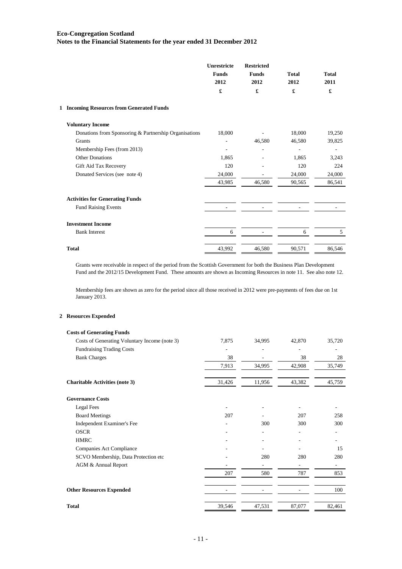|                                                       | Unrestricte<br><b>Funds</b><br>2012<br>£ | <b>Restricted</b><br><b>Funds</b><br>2012<br>£ | <b>Total</b><br>2012<br>£ | <b>Total</b><br>2011<br>£ |
|-------------------------------------------------------|------------------------------------------|------------------------------------------------|---------------------------|---------------------------|
| 1 Incoming Resources from Generated Funds             |                                          |                                                |                           |                           |
| <b>Voluntary Income</b>                               |                                          |                                                |                           |                           |
| Donations from Sponsoring & Partnership Organisations | 18,000                                   |                                                | 18,000                    | 19,250                    |
| Grants                                                |                                          | 46,580                                         | 46,580                    | 39,825                    |
| Membership Fees (from 2013)                           |                                          |                                                |                           |                           |
| <b>Other Donations</b>                                | 1,865                                    |                                                | 1,865                     | 3,243                     |
| Gift Aid Tax Recovery                                 | 120                                      |                                                | 120                       | 224                       |
| Donated Services (see note 4)                         | 24,000                                   |                                                | 24,000                    | 24,000                    |
|                                                       | 43,985                                   | 46,580                                         | 90,565                    | 86,541                    |
| <b>Activities for Generating Funds</b>                |                                          |                                                |                           |                           |
| <b>Fund Raising Events</b>                            |                                          |                                                |                           |                           |
| <b>Investment Income</b>                              |                                          |                                                |                           |                           |
| <b>Bank Interest</b>                                  | 6                                        |                                                | 6                         | 5                         |
| <b>Total</b>                                          | 43,992                                   | 46,580                                         | 90,571                    | 86,546                    |

Grants were receivable in respect of the period from the Scottish Government for both the Business Plan Development Fund and the 2012/15 Development Fund. These amounts are shown as Incoming Resources in note 11. See also note 12.

Membership fees are shown as zero for the period since all those received in 2012 were pre-payments of fees due on 1st January 2013.

### **2 Resources Expended**

| <b>Costs of Generating Funds</b>              |                          |        |        |        |
|-----------------------------------------------|--------------------------|--------|--------|--------|
| Costs of Generating Voluntary Income (note 3) | 7,875                    | 34,995 | 42,870 | 35,720 |
| <b>Fundraising Trading Costs</b>              |                          |        |        |        |
| <b>Bank Charges</b>                           | 38                       |        | 38     | 28     |
|                                               | 7,913                    | 34,995 | 42,908 | 35,749 |
| <b>Charitable Activities (note 3)</b>         | 31,426                   | 11,956 | 43,382 | 45,759 |
| <b>Governance Costs</b>                       |                          |        |        |        |
| <b>Legal Fees</b>                             |                          |        |        |        |
| <b>Board Meetings</b>                         | 207                      |        | 207    | 258    |
| Independent Examiner's Fee                    |                          | 300    | 300    | 300    |
| <b>OSCR</b>                                   |                          |        |        |        |
| <b>HMRC</b>                                   |                          |        |        |        |
| Companies Act Compliance                      |                          |        |        | 15     |
| SCVO Membership, Data Protection etc          |                          | 280    | 280    | 280    |
| AGM & Annual Report                           |                          |        |        |        |
|                                               | 207                      | 580    | 787    | 853    |
| <b>Other Resources Expended</b>               | $\overline{\phantom{0}}$ |        |        | 100    |
| <b>Total</b>                                  | 39,546                   | 47,531 | 87,077 | 82,461 |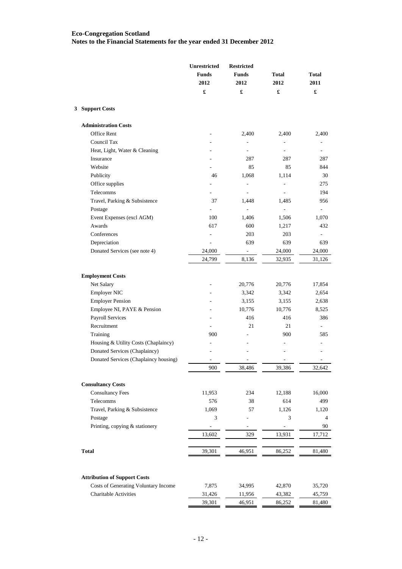|                                       | Unrestricted<br><b>Funds</b><br>2012 | <b>Restricted</b><br><b>Funds</b><br>2012 | <b>Total</b><br>2012 | <b>Total</b><br>2011     |
|---------------------------------------|--------------------------------------|-------------------------------------------|----------------------|--------------------------|
|                                       | $\pmb{\mathfrak{L}}$                 | £                                         | £                    | $\pmb{\mathfrak{L}}$     |
| 3 Support Costs                       |                                      |                                           |                      |                          |
| <b>Administration Costs</b>           |                                      |                                           |                      |                          |
| Office Rent                           |                                      | 2,400                                     | 2,400                | 2,400                    |
| Council Tax                           |                                      |                                           | L.                   |                          |
| Heat, Light, Water & Cleaning         |                                      | ä,                                        | ÷,                   |                          |
| Insurance                             |                                      | 287                                       | 287                  | 287                      |
| Website                               |                                      | 85                                        | 85                   | 844                      |
| Publicity                             | 46                                   | 1,068                                     | 1,114                | 30                       |
| Office supplies                       |                                      | ÷,                                        | ÷,                   | 275                      |
| Telecomms                             |                                      | $\overline{\phantom{a}}$                  | ÷,                   | 194                      |
| Travel, Parking & Subsistence         | 37                                   | 1,448                                     | 1,485                | 956                      |
| Postage                               |                                      | $\overline{a}$                            | ÷,                   | ä,                       |
| Event Expenses (excl AGM)             | 100                                  | 1,406                                     | 1,506                | 1,070                    |
| Awards                                | 617                                  | 600                                       | 1,217                | 432                      |
| Conferences                           |                                      | 203                                       | 203                  |                          |
| Depreciation                          |                                      | 639                                       | 639                  | 639                      |
| Donated Services (see note 4)         | 24,000                               | ÷,                                        | 24,000               | 24,000                   |
|                                       | 24,799                               | 8,136                                     | 32,935               | 31,126                   |
|                                       |                                      |                                           |                      |                          |
| <b>Employment Costs</b>               |                                      |                                           |                      |                          |
| Net Salary                            |                                      | 20,776                                    | 20,776               | 17,854                   |
| <b>Employer NIC</b>                   |                                      | 3,342                                     | 3,342                | 2,654                    |
| <b>Employer Pension</b>               |                                      | 3,155                                     | 3,155                | 2,638                    |
| Employee NI, PAYE & Pension           |                                      | 10,776                                    | 10,776               | 8,525                    |
| <b>Payroll Services</b>               |                                      | 416                                       | 416                  | 386                      |
| Recruitment                           |                                      | 21                                        | 21                   |                          |
| Training                              | 900                                  |                                           | 900                  | 585                      |
| Housing & Utility Costs (Chaplaincy)  |                                      |                                           | ä,                   |                          |
| Donated Services (Chaplaincy)         |                                      |                                           | ä,                   |                          |
| Donated Services (Chaplaincy housing) | ٠                                    |                                           |                      | $\overline{\phantom{a}}$ |
|                                       | 900                                  | 38,486                                    | 39,386               | 32,642                   |
| <b>Consultancy Costs</b>              |                                      |                                           |                      |                          |
| <b>Consultancy Fees</b>               | 11,953                               | 234                                       | 12,188               | 16,000                   |
| Telecomms                             | 576                                  | 38                                        | 614                  | 499                      |
| Travel, Parking & Subsistence         | 1,069                                | 57                                        | 1,126                | 1,120                    |
| Postage                               | 3                                    |                                           | 3                    | 4                        |
| Printing, copying & stationery        |                                      | ÷                                         | $\overline{a}$       | 90                       |
|                                       | 13,602                               | 329                                       | 13,931               | 17,712                   |
|                                       |                                      |                                           |                      |                          |
| <b>Total</b>                          | 39,301                               | 46,951                                    | 86,252               | 81,480                   |
|                                       |                                      |                                           |                      |                          |
| <b>Attribution of Support Costs</b>   |                                      |                                           |                      |                          |
| Costs of Generating Voluntary Income  | 7,875                                | 34,995                                    | 42,870               | 35,720                   |
| <b>Charitable Activities</b>          | 31,426                               | 11,956                                    | 43,382               | 45,759                   |
|                                       | 39,301                               | 46,951                                    | 86,252               | 81,480                   |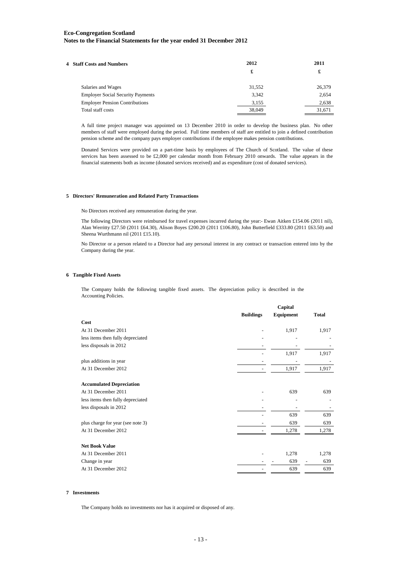| <b>4 Staff Costs and Numbers</b>         | 2012   | 2011   |
|------------------------------------------|--------|--------|
|                                          | £      | £      |
| Salaries and Wages                       | 31,552 | 26,379 |
| <b>Employer Social Security Payments</b> | 3.342  | 2,654  |
| <b>Employer Pension Contributions</b>    | 3,155  | 2,638  |
| Total staff costs                        | 38,049 | 31,671 |
|                                          |        |        |

A full time project manager was appointed on 13 December 2010 in order to develop the business plan. No other members of staff were employed during the period. Full time members of staff are entitled to join a defined contribution pension scheme and the company pays employer contributions if the employee makes pension contributions.

Donated Services were provided on a part-time basis by employees of The Church of Scotland. The value of these services has been assessed to be £2,000 per calendar month from February 2010 onwards. The value appears in the financial statements both as income (donated services received) and as expenditure (cost of donated services).

#### **5 Directors' Remuneration and Related Party Transactions**

No Directors received any remuneration during the year.

The following Directors were reimbursed for travel expenses incurred during the year:- Ewan Aitken £154.06 (2011 nil), Alan Werritty £27.50 (2011 £64.30), Alison Boyes £200.20 (2011 £106.80), John Butterfield £333.80 (2011 £63.50) and Sheena Wurthmann nil (2011 £15.10).

No Director or a person related to a Director had any personal interest in any contract or transaction entered into by the Company during the year.

#### **6 Tangible Fixed Assets**

The Company holds the following tangible fixed assets. The depreciation policy is described in the Accounting Policies.

|                                   | <b>Buildings</b> | Capital<br>Equipment | <b>Total</b> |
|-----------------------------------|------------------|----------------------|--------------|
| Cost                              |                  |                      |              |
| At 31 December 2011               |                  | 1,917                | 1,917        |
| less items then fully depreciated |                  |                      |              |
| less disposals in 2012            |                  |                      |              |
|                                   |                  | 1,917                | 1,917        |
| plus additions in year            |                  |                      |              |
| At 31 December 2012               |                  | 1,917                | 1,917        |
| <b>Accumulated Depreciation</b>   |                  |                      |              |
| At 31 December 2011               |                  | 639                  | 639          |
| less items then fully depreciated |                  |                      |              |
| less disposals in 2012            |                  |                      |              |
|                                   |                  | 639                  | 639          |
| plus charge for year (see note 3) |                  | 639                  | 639          |
| At 31 December 2012               |                  | 1,278                | 1,278        |
| <b>Net Book Value</b>             |                  |                      |              |
| At 31 December 2011               |                  | 1,278                | 1,278        |
| Change in year                    |                  | 639                  | 639          |
| At 31 December 2012               |                  | 639                  | 639          |

#### **7 Investments**

The Company holds no investments nor has it acquired or disposed of any.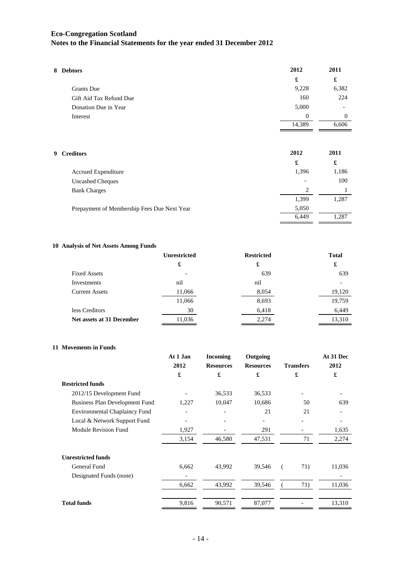| 8 Debtors               | 2012     | 2011     |
|-------------------------|----------|----------|
|                         | £        | £        |
| <b>Grants</b> Due       | 9,228    | 6,382    |
| Gift Aid Tax Refund Due | 160      | 224      |
| Donation Due in Year    | 5,000    |          |
| Interest                | $\theta$ | $\Omega$ |
|                         | 14,389   | 6,606    |
|                         |          |          |
| <b>9 Creditors</b>      | 2012     | 2011     |
|                         | £        | £        |
| Accrued Expenditure     | 1,396    | 1,186    |
|                         |          |          |

| <b>Uncashed Cheques</b>                     | $\overline{\phantom{0}}$ | 100   |
|---------------------------------------------|--------------------------|-------|
| <b>Bank Charges</b>                         |                          |       |
|                                             | 1,399                    | 1,287 |
| Prepayment of Membership Fees Due Next Year | 5,050                    |       |
|                                             | 6.449                    | 1.287 |
|                                             |                          |       |

#### **10 Analysis of Net Assets Among Funds**

| <b>Unrestricted</b> | <b>Restricted</b> | <b>Total</b> |
|---------------------|-------------------|--------------|
| £                   | £                 | £            |
|                     | 639               | 639          |
| nil                 | nil               |              |
| 11,066              | 8,054             | 19,120       |
| 11,066              | 8,693             | 19,759       |
| 30                  | 6,418             | 6,449        |
| 11,036              | 2,274             | 13,310       |
|                     |                   |              |

#### **11 Movements in Funds**

|                                       | At 1 Jan                 | <b>Incoming</b>  | Outgoing         |                  | At 31 Dec |
|---------------------------------------|--------------------------|------------------|------------------|------------------|-----------|
|                                       | 2012                     | <b>Resources</b> | <b>Resources</b> | <b>Transfers</b> | 2012      |
|                                       | £                        | £                | £                | £                | £         |
| <b>Restricted funds</b>               |                          |                  |                  |                  |           |
| 2012/15 Development Fund              |                          | 36,533           | 36,533           |                  |           |
| <b>Business Plan Development Fund</b> | 1,227                    | 10,047           | 10,686           | 50               | 639       |
| <b>Environmental Chaplaincy Fund</b>  | $\overline{\phantom{a}}$ | -                | 21               | 21               |           |
| Local & Network Support Fund          | $\overline{\phantom{a}}$ |                  |                  |                  |           |
| Module Revision Fund                  | 1,927                    |                  | 291              |                  | 1,635     |
|                                       | 3,154                    | 46,580           | 47,531           | 71               | 2,274     |
| <b>Unrestricted funds</b>             |                          |                  |                  |                  |           |
| General Fund                          | 6,662                    | 43,992           | 39,546           | 71)              | 11,036    |
| Designated Funds (none)               |                          |                  |                  |                  |           |
|                                       | 6,662                    | 43,992           | 39,546           | 71)              | 11,036    |
|                                       |                          |                  |                  |                  |           |
| <b>Total funds</b>                    | 9,816                    | 90,571           | 87,077           |                  | 13,310    |